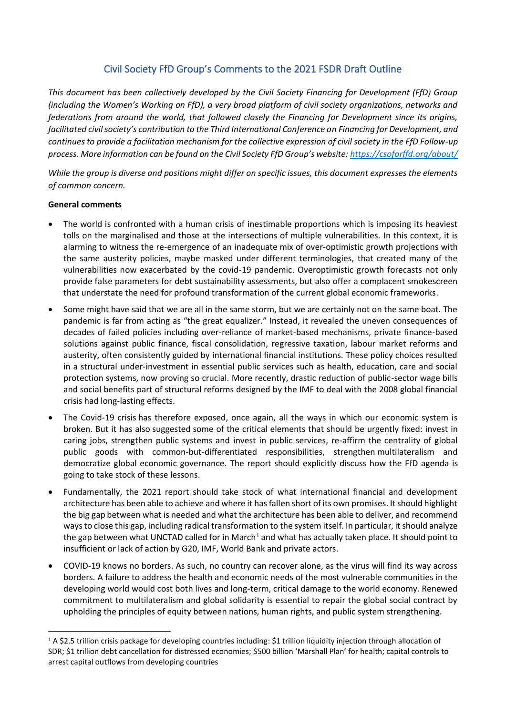# Civil Society FfD Group's Comments to the 2021 FSDR Draft Outline

*This document has been collectively developed by the Civil Society Financing for Development (FfD) Group (including the Women's Working on FfD), a very broad platform of civil society organizations, networks and federations from around the world, that followed closely the Financing for Development since its origins, facilitated civil society's contribution to the Third International Conference on Financing for Development, and continues to provide a facilitation mechanism for the collective expression of civil society in the FfD Follow-up process. More information can be found on the Civil Society FfD Group's website: <https://csoforffd.org/about/>*

*While the group is diverse and positions might differ on specific issues, this document expresses the elements of common concern.*

## **General comments**

- The world is confronted with a human crisis of inestimable proportions which is imposing its heaviest tolls on the marginalised and those at the intersections of multiple vulnerabilities. In this context, it is alarming to witness the re-emergence of an inadequate mix of over-optimistic growth projections with the same austerity policies, maybe masked under different terminologies, that created many of the vulnerabilities now exacerbated by the covid-19 pandemic. Overoptimistic growth forecasts not only provide false parameters for debt sustainability assessments, but also offer a complacent smokescreen that understate the need for profound transformation of the current global economic frameworks.
- Some might have said that we are all in the same storm, but we are certainly not on the same boat. The pandemic is far from acting as "the great equalizer." Instead, it revealed the uneven consequences of decades of failed policies including over-reliance of market-based mechanisms, private finance-based solutions against public finance, fiscal consolidation, regressive taxation, labour market reforms and austerity, often consistently guided by international financial institutions. These policy choices resulted in a structural under-investment in essential public services such as health, education, care and social protection systems, now proving so crucial. More recently, drastic reduction of public-sector wage bills and social benefits part of structural reforms designed by the IMF to deal with the 2008 global financial crisis had long-lasting effects.
- The Covid-19 crisis has therefore exposed, once again, all the ways in which our economic system is broken. But it has also suggested some of the critical elements that should be urgently fixed: invest in caring jobs, strengthen public systems and invest in public services, re-affirm the centrality of global public goods with common-but-differentiated responsibilities, strengthen multilateralism and democratize global economic governance. The report should explicitly discuss how the FfD agenda is going to take stock of these lessons.
- Fundamentally, the 2021 report should take stock of what international financial and development architecture has been able to achieve and where it has fallen short of its own promises. It should highlight the big gap between what is needed and what the architecture has been able to deliver, and recommend ways to close this gap, including radical transformation to the system itself. In particular, it should analyze the gap between what UNCTAD called for in March<sup>1</sup> and what has actually taken place. It should point to insufficient or lack of action by G20, IMF, World Bank and private actors.
- COVID-19 knows no borders. As such, no country can recover alone, as the virus will find its way across borders. A failure to address the health and economic needs of the most vulnerable communities in the developing world would cost both lives and long-term, critical damage to the world economy. Renewed commitment to multilateralism and global solidarity is essential to repair the global social contract by upholding the principles of equity between nations, human rights, and public system strengthening.

<sup>1</sup> A \$2.5 trillion crisis package for developing countries including: \$1 trillion liquidity injection through allocation of SDR; \$1 trillion debt cancellation for distressed economies; \$500 billion 'Marshall Plan' for health; capital controls to arrest capital outflows from developing countries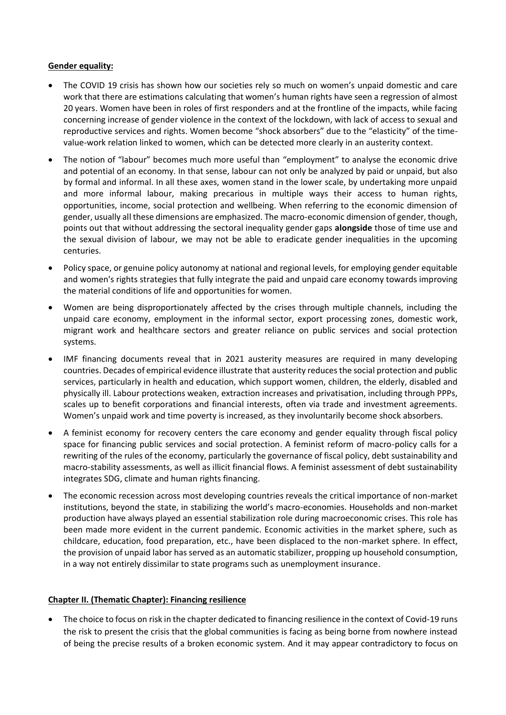### **Gender equality:**

- The COVID 19 crisis has shown how our societies rely so much on women's unpaid domestic and care work that there are estimations calculating that women's human rights have seen a regression of almost 20 years. Women have been in roles of first responders and at the frontline of the impacts, while facing concerning increase of gender violence in the context of the lockdown, with lack of access to sexual and reproductive services and rights. Women become "shock absorbers" due to the "elasticity" of the timevalue-work relation linked to women, which can be detected more clearly in an austerity context.
- The notion of "labour" becomes much more useful than "employment" to analyse the economic drive and potential of an economy. In that sense, labour can not only be analyzed by paid or unpaid, but also by formal and informal. In all these axes, women stand in the lower scale, by undertaking more unpaid and more informal labour, making precarious in multiple ways their access to human rights, opportunities, income, social protection and wellbeing. When referring to the economic dimension of gender, usually all these dimensions are emphasized. The macro-economic dimension of gender, though, points out that without addressing the sectoral inequality gender gaps **alongside** those of time use and the sexual division of labour, we may not be able to eradicate gender inequalities in the upcoming centuries.
- Policy space, or genuine policy autonomy at national and regional levels, for employing gender equitable and women's rights strategies that fully integrate the paid and unpaid care economy towards improving the material conditions of life and opportunities for women.
- Women are being disproportionately affected by the crises through multiple channels, including the unpaid care economy, employment in the informal sector, export processing zones, domestic work, migrant work and healthcare sectors and greater reliance on public services and social protection systems.
- IMF financing documents reveal that in 2021 austerity measures are required in many developing countries. Decades of empirical evidence illustrate that austerity reduces the social protection and public services, particularly in health and education, which support women, children, the elderly, disabled and physically ill. Labour protections weaken, extraction increases and privatisation, including through PPPs, scales up to benefit corporations and financial interests, often via trade and investment agreements. Women's unpaid work and time poverty is increased, as they involuntarily become shock absorbers.
- A feminist economy for recovery centers the care economy and gender equality through fiscal policy space for financing public services and social protection. A feminist reform of macro-policy calls for a rewriting of the rules of the economy, particularly the governance of fiscal policy, debt sustainability and macro-stability assessments, as well as illicit financial flows. A feminist assessment of debt sustainability integrates SDG, climate and human rights financing.
- The economic recession across most developing countries reveals the critical importance of non-market institutions, beyond the state, in stabilizing the world's macro-economies. Households and non-market production have always played an essential stabilization role during macroeconomic crises. This role has been made more evident in the current pandemic. Economic activities in the market sphere, such as childcare, education, food preparation, etc., have been displaced to the non-market sphere. In effect, the provision of unpaid labor has served as an automatic stabilizer, propping up household consumption, in a way not entirely dissimilar to state programs such as unemployment insurance.

# **Chapter II. (Thematic Chapter): Financing resilience**

• The choice to focus on risk in the chapter dedicated to financing resilience in the context of Covid-19 runs the risk to present the crisis that the global communities is facing as being borne from nowhere instead of being the precise results of a broken economic system. And it may appear contradictory to focus on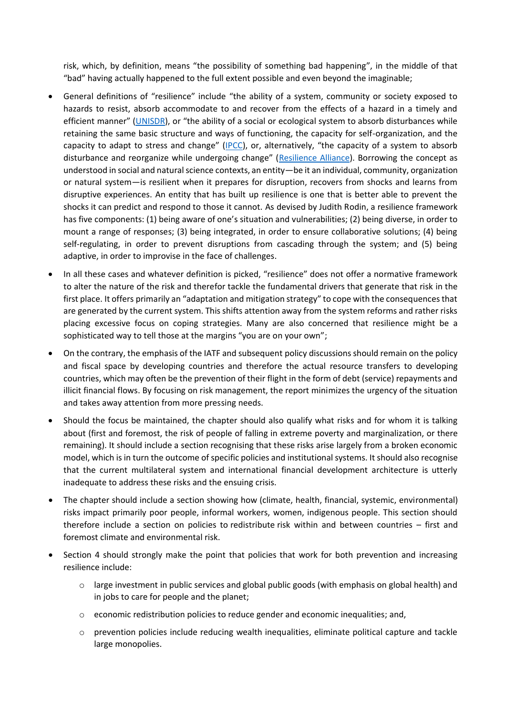risk, which, by definition, means "the possibility of something bad happening", in the middle of that "bad" having actually happened to the full extent possible and even beyond the imaginable;

- General definitions of "resilience" include "the ability of a system, community or society exposed to hazards to resist, absorb accommodate to and recover from the effects of a hazard in a timely and efficient manner" ([UNISDR\)](http://www.unisdr.org/files/7817_UNISDRTerminologyEnglish.pdf), or "the ability of a social or ecological system to absorb disturbances while retaining the same basic structure and ways of functioning, the capacity for self-organization, and the capacity to adapt to stress and change" ([IPCC](http://www.ipcc.ch/publications_and_data/ar4/syr/en/annexessglossary-r-z.html)), or, alternatively, "the capacity of a system to absorb disturbance and reorganize while undergoing change" ([Resilience Alliance\)](http://www.resalliance.org/index.php/key_concepts). Borrowing the concept as understood in social and natural science contexts, an entity—be it an individual, community, organization or natural system—is resilient when it prepares for disruption, recovers from shocks and learns from disruptive experiences. An entity that has built up resilience is one that is better able to prevent the shocks it can predict and respond to those it cannot. As devised by Judith Rodin, a resilience framework has five components: (1) being aware of one's situation and vulnerabilities; (2) being diverse, in order to mount a range of responses; (3) being integrated, in order to ensure collaborative solutions; (4) being self-regulating, in order to prevent disruptions from cascading through the system; and (5) being adaptive, in order to improvise in the face of challenges.
- In all these cases and whatever definition is picked, "resilience" does not offer a normative framework to alter the nature of the risk and therefor tackle the fundamental drivers that generate that risk in the first place. It offers primarily an "adaptation and mitigation strategy" to cope with the consequences that are generated by the current system. This shifts attention away from the system reforms and rather risks placing excessive focus on coping strategies. Many are also concerned that resilience might be a sophisticated way to tell those at the margins "you are on your own";
- On the contrary, the emphasis of the IATF and subsequent policy discussions should remain on the policy and fiscal space by developing countries and therefore the actual resource transfers to developing countries, which may often be the prevention of their flight in the form of debt (service) repayments and illicit financial flows. By focusing on risk management, the report minimizes the urgency of the situation and takes away attention from more pressing needs.
- Should the focus be maintained, the chapter should also qualify what risks and for whom it is talking about (first and foremost, the risk of people of falling in extreme poverty and marginalization, or there remaining). It should include a section recognising that these risks arise largely from a broken economic model, which is in turn the outcome of specific policies and institutional systems. It should also recognise that the current multilateral system and international financial development architecture is utterly inadequate to address these risks and the ensuing crisis.
- The chapter should include a section showing how (climate, health, financial, systemic, environmental) risks impact primarily poor people, informal workers, women, indigenous people. This section should therefore include a section on policies to redistribute risk within and between countries – first and foremost climate and environmental risk.
- Section 4 should strongly make the point that policies that work for both prevention and increasing resilience include:
	- $\circ$  large investment in public services and global public goods (with emphasis on global health) and in jobs to care for people and the planet;
	- $\circ$  economic redistribution policies to reduce gender and economic inequalities; and,
	- $\circ$  prevention policies include reducing wealth inequalities, eliminate political capture and tackle large monopolies.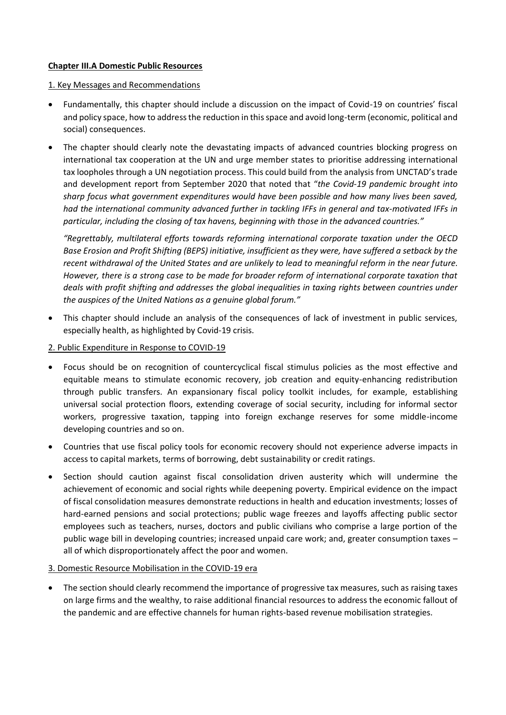## **Chapter III.A Domestic Public Resources**

#### 1. Key Messages and Recommendations

- Fundamentally, this chapter should include a discussion on the impact of Covid-19 on countries' fiscal and policy space, how to address the reduction in this space and avoid long-term (economic, political and social) consequences.
- The chapter should clearly note the devastating impacts of advanced countries blocking progress on international tax cooperation at the UN and urge member states to prioritise addressing international tax loopholes through a UN negotiation process. This could build from the analysis from UNCTAD's trade and development report from September 2020 that noted that "*the Covid-19 pandemic brought into sharp focus what government expenditures would have been possible and how many lives been saved, had the international community advanced further in tackling IFFs in general and tax-motivated IFFs in particular, including the closing of tax havens, beginning with those in the advanced countries."*

*"Regrettably, multilateral efforts towards reforming international corporate taxation under the OECD Base Erosion and Profit Shifting (BEPS) initiative, insufficient as they were, have suffered a setback by the recent withdrawal of the United States and are unlikely to lead to meaningful reform in the near future. However, there is a strong case to be made for broader reform of international corporate taxation that deals with profit shifting and addresses the global inequalities in taxing rights between countries under the auspices of the United Nations as a genuine global forum."*

• This chapter should include an analysis of the consequences of lack of investment in public services, especially health, as highlighted by Covid-19 crisis.

## 2. Public Expenditure in Response to COVID-19

- Focus should be on recognition of countercyclical fiscal stimulus policies as the most effective and equitable means to stimulate economic recovery, job creation and equity-enhancing redistribution through public transfers. An expansionary fiscal policy toolkit includes, for example, establishing universal social protection floors, extending coverage of social security, including for informal sector workers, progressive taxation, tapping into foreign exchange reserves for some middle-income developing countries and so on.
- Countries that use fiscal policy tools for economic recovery should not experience adverse impacts in access to capital markets, terms of borrowing, debt sustainability or credit ratings.
- Section should caution against fiscal consolidation driven austerity which will undermine the achievement of economic and social rights while deepening poverty. Empirical evidence on the impact of fiscal consolidation measures demonstrate reductions in health and education investments; losses of hard-earned pensions and social protections; public wage freezes and layoffs affecting public sector employees such as teachers, nurses, doctors and public civilians who comprise a large portion of the public wage bill in developing countries; increased unpaid care work; and, greater consumption taxes – all of which disproportionately affect the poor and women.

#### 3. Domestic Resource Mobilisation in the COVID-19 era

• The section should clearly recommend the importance of progressive tax measures, such as raising taxes on large firms and the wealthy, to raise additional financial resources to address the economic fallout of the pandemic and are effective channels for human rights-based revenue mobilisation strategies.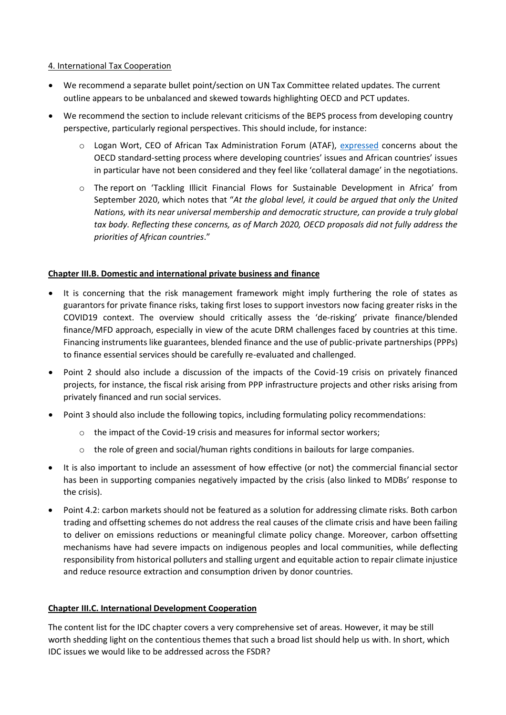### 4. International Tax Cooperation

- We recommend a separate bullet point/section on UN Tax Committee related updates. The current outline appears to be unbalanced and skewed towards highlighting OECD and PCT updates.
- We recommend the section to include relevant criticisms of the BEPS process from developing country perspective, particularly regional perspectives. This should include, for instance:
	- o Logan Wort, CEO of African Tax Administration Forum (ATAF), [expressed](https://youtu.be/Dab-hAG91kA?t=2102) concerns about the OECD standard-setting process where developing countries' issues and African countries' issues in particular have not been considered and they feel like 'collateral damage' in the negotiations.
	- o The [report](https://unctad.org/en/PublicationsLibrary/aldcafrica2020_en.pdf) on 'Tackling Illicit Financial Flows for Sustainable Development in Africa' from September 2020, which notes that "*At the global level, it could be argued that only the United Nations, with its near universal membership and democratic structure, can provide a truly global tax body. Reflecting these concerns, as of March 2020, OECD proposals did not fully address the priorities of African countries*."

# **Chapter III.B. Domestic and international private business and finance**

- It is concerning that the risk management framework might imply furthering the role of states as guarantors for private finance risks, taking first loses to support investors now facing greater risks in the COVID19 context. The overview should critically assess the 'de-risking' private finance/blended finance/MFD approach, especially in view of the acute DRM challenges faced by countries at this time. Financing instruments like guarantees, blended finance and the use of public-private partnerships (PPPs) to finance essential services should be carefully re-evaluated and challenged.
- Point 2 should also include a discussion of the impacts of the Covid-19 crisis on privately financed projects, for instance, the fiscal risk arising from PPP infrastructure projects and other risks arising from privately financed and run social services.
- Point 3 should also include the following topics, including formulating policy recommendations:
	- $\circ$  the impact of the Covid-19 crisis and measures for informal sector workers;
	- o the role of green and social/human rights conditions in bailouts for large companies.
- It is also important to include an assessment of how effective (or not) the commercial financial sector has been in supporting companies negatively impacted by the crisis (also linked to MDBs' response to the crisis).
- Point 4.2: carbon markets should not be featured as a solution for addressing climate risks. Both carbon trading and offsetting schemes do not address the real causes of the climate crisis and have been failing to deliver on emissions reductions or meaningful climate policy change. Moreover, carbon offsetting mechanisms have had severe impacts on indigenous peoples and local communities, while deflecting responsibility from historical polluters and stalling urgent and equitable action to repair climate injustice and reduce resource extraction and consumption driven by donor countries.

# **Chapter III.C. International Development Cooperation**

The content list for the IDC chapter covers a very comprehensive set of areas. However, it may be still worth shedding light on the contentious themes that such a broad list should help us with. In short, which IDC issues we would like to be addressed across the FSDR?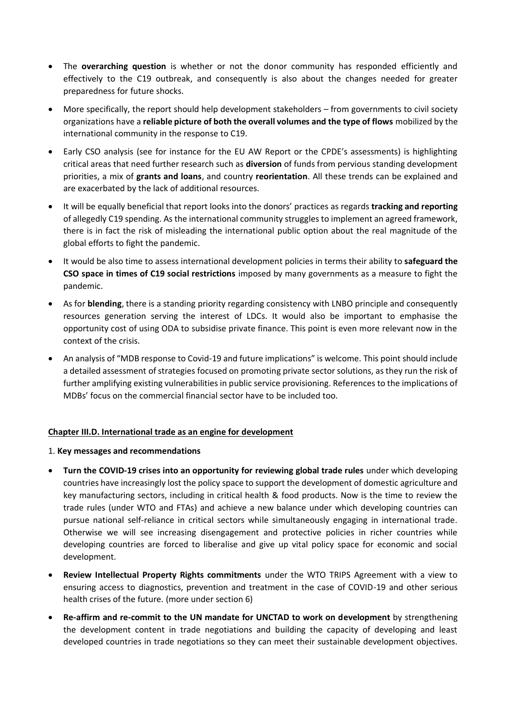- The **overarching question** is whether or not the donor community has responded efficiently and effectively to the C19 outbreak, and consequently is also about the changes needed for greater preparedness for future shocks.
- More specifically, the report should help development stakeholders from governments to civil society organizations have a **reliable picture of both the overall volumes and the type of flows** mobilized by the international community in the response to C19.
- Early CSO analysis (see for instance for the EU AW Report or the CPDE's assessments) is highlighting critical areas that need further research such as **diversion** of funds from pervious standing development priorities, a mix of **grants and loans**, and country **reorientation**. All these trends can be explained and are exacerbated by the lack of additional resources.
- It will be equally beneficial that report looks into the donors' practices as regards **tracking and reporting** of allegedly C19 spending. As the international community struggles to implement an agreed framework, there is in fact the risk of misleading the international public option about the real magnitude of the global efforts to fight the pandemic.
- It would be also time to assess international development policies in terms their ability to **safeguard the CSO space in times of C19 social restrictions** imposed by many governments as a measure to fight the pandemic.
- As for **blending**, there is a standing priority regarding consistency with LNBO principle and consequently resources generation serving the interest of LDCs. It would also be important to emphasise the opportunity cost of using ODA to subsidise private finance. This point is even more relevant now in the context of the crisis.
- An analysis of "MDB response to Covid-19 and future implications" is welcome. This point should include a detailed assessment of strategies focused on promoting private sector solutions, as they run the risk of further amplifying existing vulnerabilities in public service provisioning. References to the implications of MDBs' focus on the commercial financial sector have to be included too.

# **Chapter III.D. International trade as an engine for development**

#### 1. **Key messages and recommendations**

- **Turn the COVID-19 crises into an opportunity for reviewing global trade rules** under which developing countries have increasingly lost the policy space to support the development of domestic agriculture and key manufacturing sectors, including in critical health & food products. Now is the time to review the trade rules (under WTO and FTAs) and achieve a new balance under which developing countries can pursue national self-reliance in critical sectors while simultaneously engaging in international trade. Otherwise we will see increasing disengagement and protective policies in richer countries while developing countries are forced to liberalise and give up vital policy space for economic and social development.
- **Review Intellectual Property Rights commitments** under the WTO TRIPS Agreement with a view to ensuring access to diagnostics, prevention and treatment in the case of COVID-19 and other serious health crises of the future. (more under section 6)
- **Re-affirm and re-commit to the UN mandate for UNCTAD to work on development** by strengthening the development content in trade negotiations and building the capacity of developing and least developed countries in trade negotiations so they can meet their sustainable development objectives.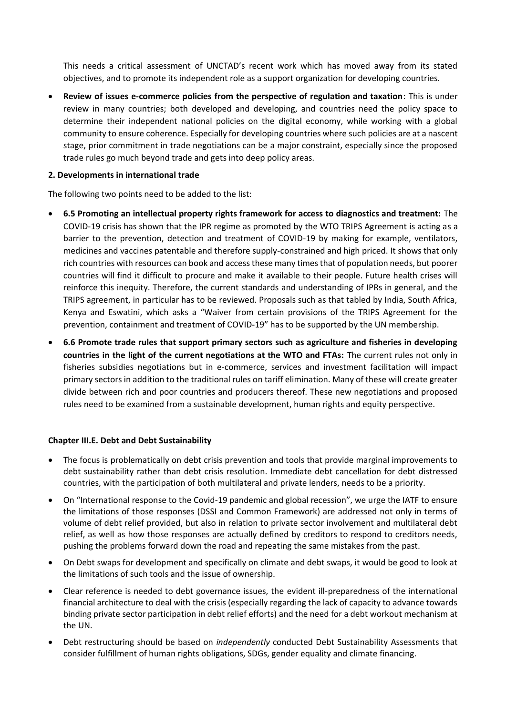This needs a critical assessment of UNCTAD's recent work which has moved away from its stated objectives, and to promote its independent role as a support organization for developing countries.

• **Review of issues e-commerce policies from the perspective of regulation and taxation**: This is under review in many countries; both developed and developing, and countries need the policy space to determine their independent national policies on the digital economy, while working with a global community to ensure coherence. Especially for developing countries where such policies are at a nascent stage, prior commitment in trade negotiations can be a major constraint, especially since the proposed trade rules go much beyond trade and gets into deep policy areas.

## **2. Developments in international trade**

The following two points need to be added to the list:

- **6.5 Promoting an intellectual property rights framework for access to diagnostics and treatment:** The COVID-19 crisis has shown that the IPR regime as promoted by the WTO TRIPS Agreement is acting as a barrier to the prevention, detection and treatment of COVID-19 by making for example, ventilators, medicines and vaccines patentable and therefore supply-constrained and high priced. It shows that only rich countries with resources can book and access these many times that of population needs, but poorer countries will find it difficult to procure and make it available to their people. Future health crises will reinforce this inequity. Therefore, the current standards and understanding of IPRs in general, and the TRIPS agreement, in particular has to be reviewed. Proposals such as that tabled by India, South Africa, Kenya and Eswatini, which asks a "Waiver from certain provisions of the TRIPS Agreement for the prevention, containment and treatment of COVID-19" has to be supported by the UN membership.
- **6.6 Promote trade rules that support primary sectors such as agriculture and fisheries in developing countries in the light of the current negotiations at the WTO and FTAs:** The current rules not only in fisheries subsidies negotiations but in e-commerce, services and investment facilitation will impact primary sectors in addition to the traditional rules on tariff elimination. Many of these will create greater divide between rich and poor countries and producers thereof. These new negotiations and proposed rules need to be examined from a sustainable development, human rights and equity perspective.

#### **Chapter III.E. Debt and Debt Sustainability**

- The focus is problematically on debt crisis prevention and tools that provide marginal improvements to debt sustainability rather than debt crisis resolution. Immediate debt cancellation for debt distressed countries, with the participation of both multilateral and private lenders, needs to be a priority.
- On "International response to the Covid-19 pandemic and global recession", we urge the IATF to ensure the limitations of those responses (DSSI and Common Framework) are addressed not only in terms of volume of debt relief provided, but also in relation to private sector involvement and multilateral debt relief, as well as how those responses are actually defined by creditors to respond to creditors needs, pushing the problems forward down the road and repeating the same mistakes from the past.
- On Debt swaps for development and specifically on climate and debt swaps, it would be good to look at the limitations of such tools and the issue of ownership.
- Clear reference is needed to debt governance issues, the evident ill-preparedness of the international financial architecture to deal with the crisis (especially regarding the lack of capacity to advance towards binding private sector participation in debt relief efforts) and the need for a debt workout mechanism at the UN.
- Debt restructuring should be based on *independently* conducted Debt Sustainability Assessments that consider fulfillment of human rights obligations, SDGs, gender equality and climate financing.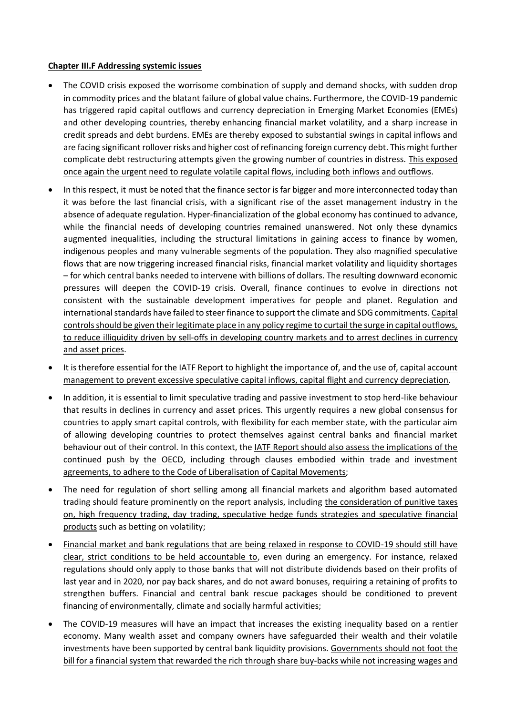## **Chapter III.F Addressing systemic issues**

- The COVID crisis exposed the worrisome combination of supply and demand shocks, with sudden drop in commodity prices and the blatant failure of global value chains. Furthermore, the COVID-19 pandemic has triggered rapid capital outflows and currency depreciation in Emerging Market Economies (EMEs) and other developing countries, thereby enhancing financial market volatility, and a sharp increase in credit spreads and debt burdens. EMEs are thereby exposed to substantial swings in capital inflows and are facing significant rollover risks and higher cost of refinancing foreign currency debt. This might further complicate debt restructuring attempts given the growing number of countries in distress. This exposed once again the urgent need to regulate volatile capital flows, including both inflows and outflows.
- In this respect, it must be noted that the finance sector is far bigger and more interconnected today than it was before the last financial crisis, with a significant rise of the asset management industry in the absence of adequate regulation. Hyper-financialization of the global economy has continued to advance, while the financial needs of developing countries remained unanswered. Not only these dynamics augmented inequalities, including the structural limitations in gaining access to finance by women, indigenous peoples and many vulnerable segments of the population. They also magnified speculative flows that are now triggering increased financial risks, financial market volatility and liquidity shortages – for which central banks needed to intervene with billions of dollars. The resulting downward economic pressures will deepen the COVID-19 crisis. Overall, finance continues to evolve in directions not consistent with the sustainable development imperatives for people and planet. Regulation and international standards have failed to steer finance to support the climate and SDG commitments. Capital controls should be given their legitimate place in any policy regime to curtail the surge in capital outflows, to reduce illiquidity driven by sell-offs in developing country markets and to arrest declines in currency and asset prices.
- It is therefore essential for the IATF Report to highlight the importance of, and the use of, capital account management to prevent excessive speculative capital inflows, capital flight and currency depreciation.
- In addition, it is essential to limit speculative trading and passive investment to stop herd-like behaviour that results in declines in currency and asset prices. This urgently requires a new global consensus for countries to apply smart capital controls, with flexibility for each member state, with the particular aim of allowing developing countries to protect themselves against central banks and financial market behaviour out of their control. In this context, the IATF Report should also assess the implications of the continued push by the OECD, including through clauses embodied within trade and investment agreements, to adhere to the Code of Liberalisation of Capital Movements;
- The need for regulation of short selling among all financial markets and algorithm based automated trading should feature prominently on the report analysis, including the consideration of punitive taxes on, high frequency trading, day trading, speculative hedge funds strategies and speculative financial products such as betting on volatility;
- Financial market and bank regulations that are being relaxed in response to COVID-19 should still have clear, strict conditions to be held accountable to, even during an emergency. For instance, relaxed regulations should only apply to those banks that will not distribute dividends based on their profits of last year and in 2020, nor pay back shares, and do not award bonuses, requiring a retaining of profits to strengthen buffers. Financial and central bank rescue packages should be conditioned to prevent financing of environmentally, climate and socially harmful activities;
- The COVID-19 measures will have an impact that increases the existing inequality based on a rentier economy. Many wealth asset and company owners have safeguarded their wealth and their volatile investments have been supported by central bank liquidity provisions. Governments should not foot the bill for a financial system that rewarded the rich through share buy-backs while not increasing wages and